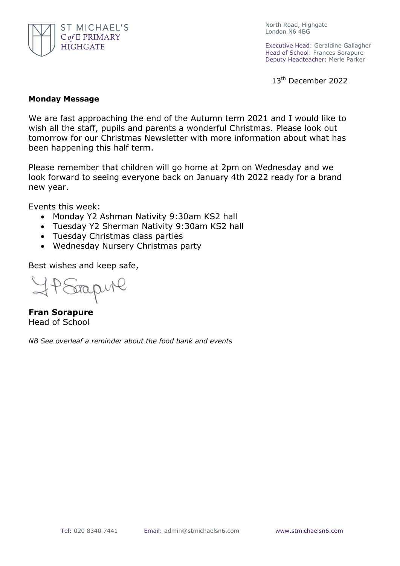

North Road, Highgate London N6 4BG

Executive Head: Geraldine Gallagher Head of School: Frances Sorapure Deputy Headteacher: Merle Parker

13<sup>th</sup> December 2022

## **Monday Message**

We are fast approaching the end of the Autumn term 2021 and I would like to wish all the staff, pupils and parents a wonderful Christmas. Please look out tomorrow for our Christmas Newsletter with more information about what has been happening this half term.

Please remember that children will go home at 2pm on Wednesday and we look forward to seeing everyone back on January 4th 2022 ready for a brand new year.

Events this week:

- Monday Y2 Ashman Nativity 9:30am KS2 hall
- Tuesday Y2 Sherman Nativity 9:30am KS2 hall
- Tuesday Christmas class parties
- Wednesday Nursery Christmas party

Best wishes and keep safe,

**Fran Sorapure** Head of School

*NB See overleaf a reminder about the food bank and events*